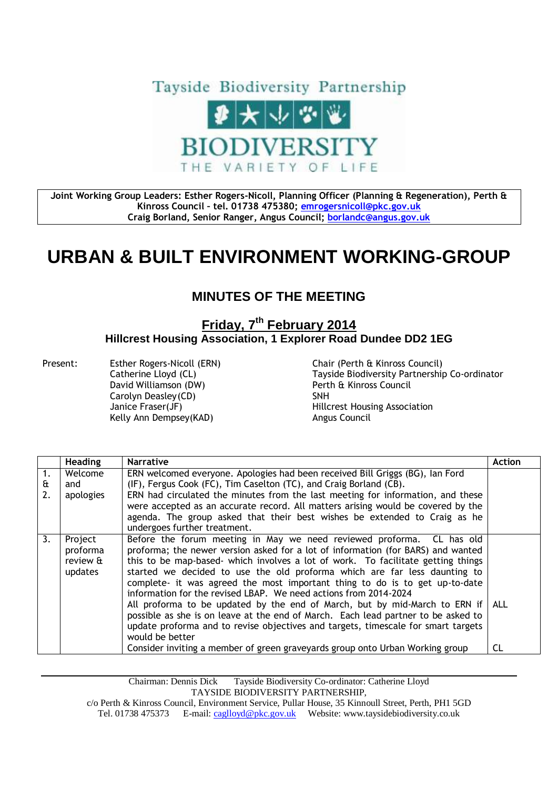

**Joint Working Group Leaders: Esther Rogers-Nicoll, Planning Officer (Planning & Regeneration), Perth & Kinross Council – tel. 01738 475380; [emrogersnicoll@pkc.gov.uk](mailto:emrogersnicoll@pkc.gov.uk) Craig Borland, Senior Ranger, Angus Council; [borlandc@angus.gov.uk](mailto:borlandc@angus.gov.uk)**

## **URBAN & BUILT ENVIRONMENT WORKING-GROUP**

## **MINUTES OF THE MEETING**

## **Friday, 7 th February 2014 Hillcrest Housing Association, 1 Explorer Road Dundee DD2 1EG**

Present: Esther Rogers-Nicoll (ERN) Chair (Perth & Kinross Council) David Williamson (DW) Perth & Kinross Council Carolyn Deasley (CD) SNH Kelly Ann Dempsey(KAD) Angus Council

Catherine Lloyd (CL) Tayside Biodiversity Partnership Co-ordinator Janice Fraser(JF) Hillcrest Housing Association

|               | <b>Heading</b>                             | <b>Narrative</b>                                                                                                                                                                                                                                                                                                                                                                                                                                                                                                                                                                                                                                                                                                                                         | <b>Action</b> |
|---------------|--------------------------------------------|----------------------------------------------------------------------------------------------------------------------------------------------------------------------------------------------------------------------------------------------------------------------------------------------------------------------------------------------------------------------------------------------------------------------------------------------------------------------------------------------------------------------------------------------------------------------------------------------------------------------------------------------------------------------------------------------------------------------------------------------------------|---------------|
| 1.<br>£<br>2. | Welcome<br>and<br>apologies                | ERN welcomed everyone. Apologies had been received Bill Griggs (BG), Ian Ford<br>(IF), Fergus Cook (FC), Tim Caselton (TC), and Craig Borland (CB).<br>ERN had circulated the minutes from the last meeting for information, and these<br>were accepted as an accurate record. All matters arising would be covered by the<br>agenda. The group asked that their best wishes be extended to Craig as he<br>undergoes further treatment.                                                                                                                                                                                                                                                                                                                  |               |
| 3.            | Project<br>proforma<br>review &<br>updates | Before the forum meeting in May we need reviewed proforma. CL has old<br>proforma; the newer version asked for a lot of information (for BARS) and wanted<br>this to be map-based- which involves a lot of work. To facilitate getting things<br>started we decided to use the old proforma which are far less daunting to<br>complete- it was agreed the most important thing to do is to get up-to-date<br>information for the revised LBAP. We need actions from 2014-2024<br>All proforma to be updated by the end of March, but by mid-March to ERN if<br>possible as she is on leave at the end of March. Each lead partner to be asked to<br>update proforma and to revise objectives and targets, timescale for smart targets<br>would be better | ALL           |
|               |                                            | Consider inviting a member of green graveyards group onto Urban Working group                                                                                                                                                                                                                                                                                                                                                                                                                                                                                                                                                                                                                                                                            | CL            |

Chairman: Dennis Dick Tayside Biodiversity Co-ordinator: Catherine Lloyd TAYSIDE BIODIVERSITY PARTNERSHIP,

c/o Perth & Kinross Council, Environment Service, Pullar House, 35 Kinnoull Street, Perth, PH1 5GD Tel. 01738 475373 E-mail[: caglloyd@pkc.gov.uk](mailto:caglloyd@pkc.gov.uk) Website: www.taysidebiodiversity.co.uk